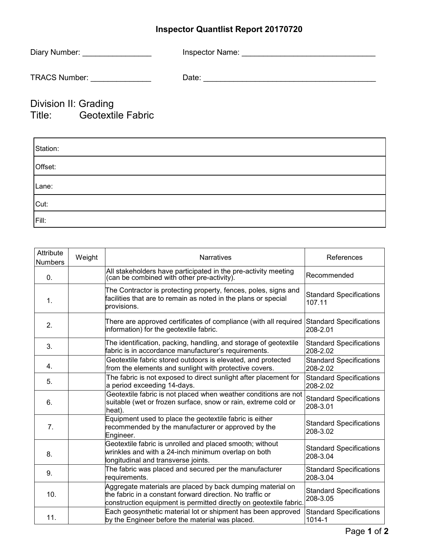## **Inspector Quantlist Report 20170720**

| Diary Number:        | Inspector Name: |
|----------------------|-----------------|
| <b>TRACS Number:</b> | Date:           |

## Division II: Grading Title: Geotextile Fabric

| Station: |  |
|----------|--|
| Offset:  |  |
| Lane:    |  |
| Cut:     |  |
| Fill:    |  |

| Attribute<br><b>Numbers</b> | Weight | <b>Narratives</b>                                                                                                                                                                             | References                                 |
|-----------------------------|--------|-----------------------------------------------------------------------------------------------------------------------------------------------------------------------------------------------|--------------------------------------------|
| 0.                          |        | All stakeholders have participated in the pre-activity meeting (can be combined with other pre-activity).                                                                                     | Recommended                                |
| 1.                          |        | The Contractor is protecting property, fences, poles, signs and<br>facilities that are to remain as noted in the plans or special<br>provisions.                                              | <b>Standard Specifications</b><br>107.11   |
| 2.                          |        | There are approved certificates of compliance (with all required<br>information) for the geotextile fabric.                                                                                   | <b>Standard Specifications</b><br>208-2.01 |
| 3.                          |        | The identification, packing, handling, and storage of geotextile<br>fabric is in accordance manufacturer's requirements.                                                                      | <b>Standard Specifications</b><br>208-2.02 |
| 4.                          |        | Geotextile fabric stored outdoors is elevated, and protected<br>from the elements and sunlight with protective covers.                                                                        | <b>Standard Specifications</b><br>208-2.02 |
| 5.                          |        | The fabric is not exposed to direct sunlight after placement for<br>a period exceeding 14-days.                                                                                               | <b>Standard Specifications</b><br>208-2.02 |
| 6.                          |        | Geotextile fabric is not placed when weather conditions are not<br>suitable (wet or frozen surface, snow or rain, extreme cold or<br>heat).                                                   | <b>Standard Specifications</b><br>208-3.01 |
| 7.                          |        | Equipment used to place the geotextile fabric is either<br>recommended by the manufacturer or approved by the<br>Engineer.                                                                    | <b>Standard Specifications</b><br>208-3.02 |
| 8.                          |        | Geotextile fabric is unrolled and placed smooth; without<br>wrinkles and with a 24-inch minimum overlap on both<br>longitudinal and transverse joints.                                        | <b>Standard Specifications</b><br>208-3.04 |
| 9.                          |        | The fabric was placed and secured per the manufacturer<br>requirements.                                                                                                                       | <b>Standard Specifications</b><br>208-3.04 |
| 10.                         |        | Aggregate materials are placed by back dumping material on<br>the fabric in a constant forward direction. No traffic or<br>construction equipment is permitted directly on geotextile fabric. | <b>Standard Specifications</b><br>208-3.05 |
| 11.                         |        | Each geosynthetic material lot or shipment has been approved<br>by the Engineer before the material was placed.                                                                               | <b>Standard Specifications</b><br>1014-1   |